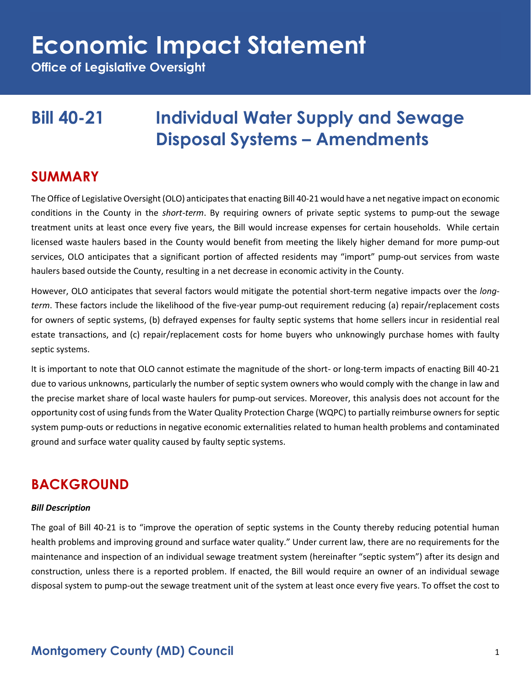**Office of Legislative Oversight**

### **Bill 40-21 Individual Water Supply and Sewage Disposal Systems – Amendments**

#### **SUMMARY**

The Office of Legislative Oversight (OLO) anticipates that enacting Bill 40-21 would have a net negative impact on economic conditions in the County in the *short-term*. By requiring owners of private septic systems to pump-out the sewage treatment units at least once every five years, the Bill would increase expenses for certain households. While certain licensed waste haulers based in the County would benefit from meeting the likely higher demand for more pump-out services, OLO anticipates that a significant portion of affected residents may "import" pump-out services from waste haulers based outside the County, resulting in a net decrease in economic activity in the County.

However, OLO anticipates that several factors would mitigate the potential short-term negative impacts over the *longterm*. These factors include the likelihood of the five-year pump-out requirement reducing (a) repair/replacement costs for owners of septic systems, (b) defrayed expenses for faulty septic systems that home sellers incur in residential real estate transactions, and (c) repair/replacement costs for home buyers who unknowingly purchase homes with faulty septic systems.

It is important to note that OLO cannot estimate the magnitude of the short- or long-term impacts of enacting Bill 40-21 due to various unknowns, particularly the number of septic system owners who would comply with the change in law and the precise market share of local waste haulers for pump-out services. Moreover, this analysis does not account for the opportunity cost of using funds from the Water Quality Protection Charge (WQPC) to partially reimburse owners for septic system pump-outs or reductions in negative economic externalities related to human health problems and contaminated ground and surface water quality caused by faulty septic systems.

### **BACKGROUND**

#### *Bill Description*

The goal of Bill 40-21 is to "improve the operation of septic systems in the County thereby reducing potential human health problems and improving ground and surface water quality." Under current law, there are no requirements for the maintenance and inspection of an individual sewage treatment system (hereinafter "septic system") after its design and construction, unless there is a reported problem. If enacted, the Bill would require an owner of an individual sewage disposal system to pump-out the sewage treatment unit of the system at least once every five years. To offset the cost to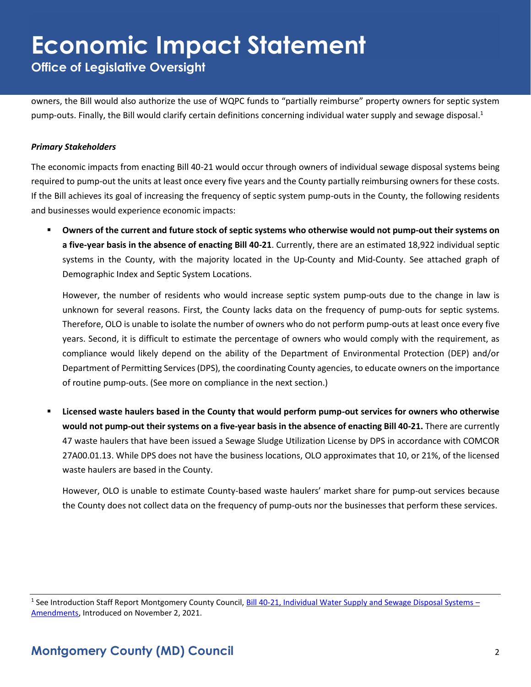**Office of Legislative Oversight**

owners, the Bill would also authorize the use of WQPC funds to "partially reimburse" property owners for septic system pump-outs. Finally, the Bill would clarify certain definitions concerning individual water supply and sewage disposal.<sup>1</sup>

#### *Primary Stakeholders*

The economic impacts from enacting Bill 40-21 would occur through owners of individual sewage disposal systems being required to pump-out the units at least once every five years and the County partially reimbursing owners for these costs. If the Bill achieves its goal of increasing the frequency of septic system pump-outs in the County, the following residents and businesses would experience economic impacts:

▪ **Owners of the current and future stock of septic systems who otherwise would not pump-out their systems on a five-year basis in the absence of enacting Bill 40-21**. Currently, there are an estimated 18,922 individual septic systems in the County, with the majority located in the Up-County and Mid-County. See attached graph of Demographic Index and Septic System Locations.

However, the number of residents who would increase septic system pump-outs due to the change in law is unknown for several reasons. First, the County lacks data on the frequency of pump-outs for septic systems. Therefore, OLO is unable to isolate the number of owners who do not perform pump-outs at least once every five years. Second, it is difficult to estimate the percentage of owners who would comply with the requirement, as compliance would likely depend on the ability of the Department of Environmental Protection (DEP) and/or Department of Permitting Services (DPS), the coordinating County agencies, to educate owners on the importance of routine pump-outs. (See more on compliance in the next section.)

Licensed waste haulers based in the County that would perform pump-out services for owners who otherwise **would not pump-out their systems on a five-year basis in the absence of enacting Bill 40-21.** There are currently 47 waste haulers that have been issued a Sewage Sludge Utilization License by DPS in accordance with COMCOR 27A00.01.13. While DPS does not have the business locations, OLO approximates that 10, or 21%, of the licensed waste haulers are based in the County.

However, OLO is unable to estimate County-based waste haulers' market share for pump-out services because the County does not collect data on the frequency of pump-outs nor the businesses that perform these services.

<sup>&</sup>lt;sup>1</sup> See Introduction Staff Report Montgomery County Council, **Bill 40-21, Individual Water Supply and Sewage Disposal Systems –** [Amendments,](https://apps.montgomerycountymd.gov/ccllims/DownloadFilePage?FileName=2731_1_17776_Bill_40-2021_Introduction_20211102.pdf) Introduced on November 2, 2021.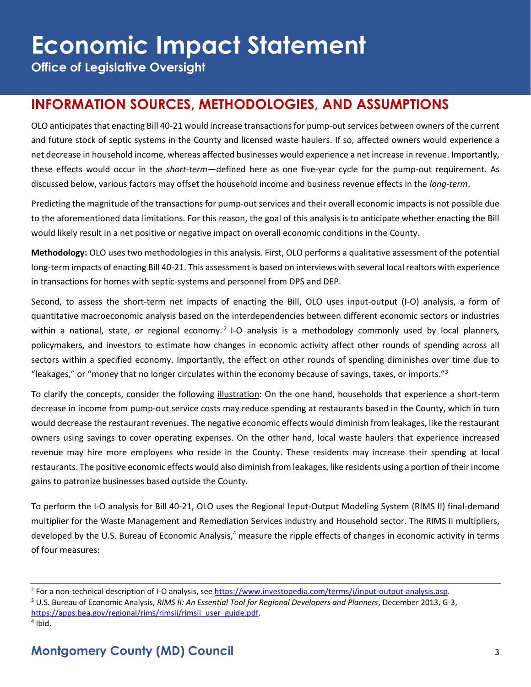**Office of Legislative Oversight**

### **INFORMATION SOURCES, METHODOLOGIES, AND ASSUMPTIONS**

OLO anticipates that enacting Bill 40-21 would increase transactions for pump-out services between owners of the current and future stock of septic systems in the County and licensed waste haulers. If so, affected owners would experience a net decrease in household income, whereas affected businesses would experience a net increase in revenue. Importantly, these effects would occur in the *short-term*—defined here as one five-year cycle for the pump-out requirement. As discussed below, various factors may offset the household income and business revenue effects in the *long-term*.

Predicting the magnitude of the transactions for pump-out services and their overall economic impacts is not possible due to the aforementioned data limitations. For this reason, the goal of this analysis is to anticipate whether enacting the Bill would likely result in a net positive or negative impact on overall economic conditions in the County.

**Methodology:** OLO uses two methodologies in this analysis. First, OLO performs a qualitative assessment of the potential long-term impacts of enacting Bill 40-21. This assessment is based on interviews with several local realtors with experience in transactions for homes with septic-systems and personnel from DPS and DEP.

Second, to assess the short-term net impacts of enacting the Bill, OLO uses input-output (I-O) analysis, a form of quantitative macroeconomic analysis based on the interdependencies between different economic sectors or industries within a national, state, or regional economy.<sup>2</sup> I-O analysis is a methodology commonly used by local planners, policymakers, and investors to estimate how changes in economic activity affect other rounds of spending across all sectors within a specified economy. Importantly, the effect on other rounds of spending diminishes over time due to "leakages," or "money that no longer circulates within the economy because of savings, taxes, or imports." $3$ 

To clarify the concepts, consider the following illustration: On the one hand, households that experience a short-term decrease in income from pump-out service costs may reduce spending at restaurants based in the County, which in turn would decrease the restaurant revenues. The negative economic effects would diminish from leakages, like the restaurant owners using savings to cover operating expenses. On the other hand, local waste haulers that experience increased revenue may hire more employees who reside in the County. These residents may increase their spending at local restaurants. The positive economic effects would also diminish from leakages, like residents using a portion of their income gains to patronize businesses based outside the County.

To perform the I-O analysis for Bill 40-21, OLO uses the Regional Input-Output Modeling System (RIMS II) final-demand multiplier for the Waste Management and Remediation Services industry and Household sector. The RIMS II multipliers, developed by the U.S. Bureau of Economic Analysis,<sup>4</sup> measure the ripple effects of changes in economic activity in terms of four measures:

<sup>&</sup>lt;sup>2</sup> For a non-technical description of I-O analysis, see https://www.investopedia.com/terms/i/input-output-analysis.asp.

<sup>3</sup> U.S. Bureau of Economic Analysis, *RIMS II: An Essential Tool for Regional Developers and Planners*, December 2013, G-3, [https://apps.bea.gov/regional/rims/rimsii/rimsii\\_user\\_guide.pdf.](https://apps.bea.gov/regional/rims/rimsii/rimsii_user_guide.pdf)

<sup>4</sup> Ibid.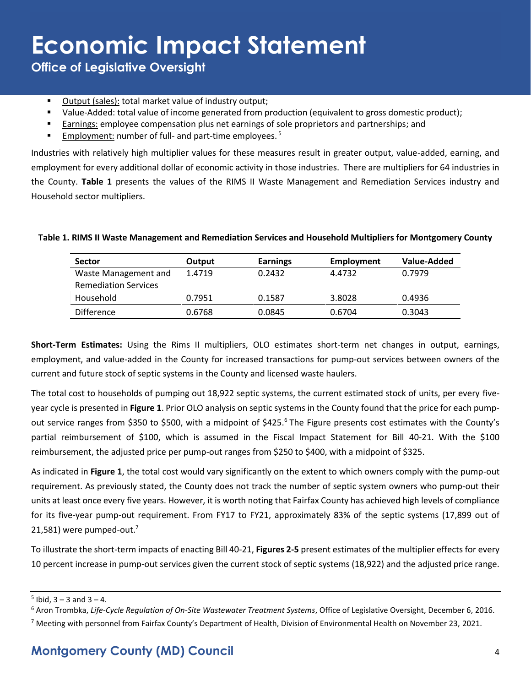**Office of Legislative Oversight**

- Output (sales): total market value of industry output;
- Value-Added: total value of income generated from production (equivalent to gross domestic product);
- Earnings: employee compensation plus net earnings of sole proprietors and partnerships; and
- **Employment:** number of full- and part-time employees.<sup>5</sup>

Industries with relatively high multiplier values for these measures result in greater output, value-added, earning, and employment for every additional dollar of economic activity in those industries. There are multipliers for 64 industries in the County. **Table 1** presents the values of the RIMS II Waste Management and Remediation Services industry and Household sector multipliers.

| <b>Sector</b>               | Output | <b>Earnings</b> | Employment | Value-Added |  |
|-----------------------------|--------|-----------------|------------|-------------|--|
| Waste Management and        | 1.4719 | 0.2432          | 4.4732     | 0.7979      |  |
| <b>Remediation Services</b> |        |                 |            |             |  |
| Household                   | 0.7951 | 0.1587          | 3.8028     | 0.4936      |  |
| <b>Difference</b>           | 0.6768 | 0.0845          | 0.6704     | 0.3043      |  |

#### **Table 1. RIMS II Waste Management and Remediation Services and Household Multipliers for Montgomery County**

**Short-Term Estimates:** Using the Rims II multipliers, OLO estimates short-term net changes in output, earnings, employment, and value-added in the County for increased transactions for pump-out services between owners of the current and future stock of septic systems in the County and licensed waste haulers.

The total cost to households of pumping out 18,922 septic systems, the current estimated stock of units, per every fiveyear cycle is presented in **Figure 1**. Prior OLO analysis on septic systems in the County found that the price for each pumpout service ranges from \$350 to \$500, with a midpoint of \$425.<sup>6</sup> The Figure presents cost estimates with the County's partial reimbursement of \$100, which is assumed in the Fiscal Impact Statement for Bill 40-21. With the \$100 reimbursement, the adjusted price per pump-out ranges from \$250 to \$400, with a midpoint of \$325.

As indicated in **Figure 1**, the total cost would vary significantly on the extent to which owners comply with the pump-out requirement. As previously stated, the County does not track the number of septic system owners who pump-out their units at least once every five years. However, it is worth noting that Fairfax County has achieved high levels of compliance for its five-year pump-out requirement. From FY17 to FY21, approximately 83% of the septic systems (17,899 out of 21,581) were pumped-out.<sup>7</sup>

To illustrate the short-term impacts of enacting Bill 40-21, **Figures 2-5** present estimates of the multiplier effects for every 10 percent increase in pump-out services given the current stock of septic systems (18,922) and the adjusted price range.

 $5$  Ibid,  $3 - 3$  and  $3 - 4$ .

<sup>6</sup> Aron Trombka, *Life-Cycle Regulation of On-Site Wastewater Treatment Systems*, Office of Legislative Oversight, December 6, 2016.

<sup>&</sup>lt;sup>7</sup> Meeting with personnel from Fairfax County's Department of Health, Division of Environmental Health on November 23, 2021.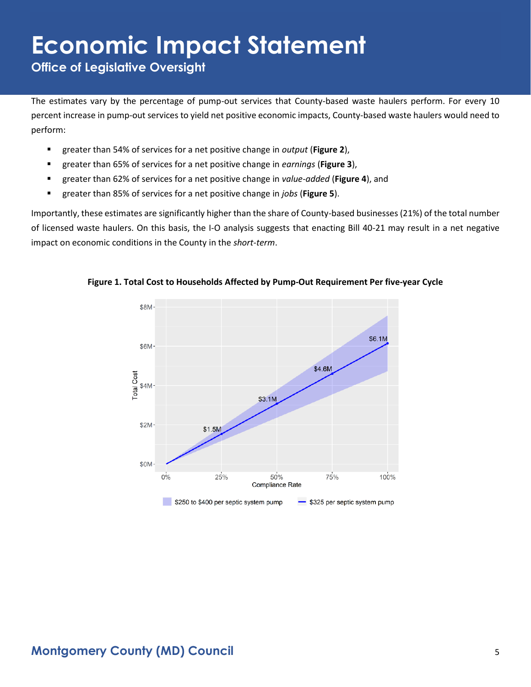**Office of Legislative Oversight**

The estimates vary by the percentage of pump-out services that County-based waste haulers perform. For every 10 percent increase in pump-out services to yield net positive economic impacts, County-based waste haulers would need to perform:

- greater than 54% of services for a net positive change in *output* (**Figure 2**),
- greater than 65% of services for a net positive change in *earnings* (Figure 3),
- greater than 62% of services for a net positive change in *value-added* (**Figure 4**), and
- greater than 85% of services for a net positive change in *jobs* (**Figure 5**).

Importantly, these estimates are significantly higher than the share of County-based businesses (21%) of the total number of licensed waste haulers. On this basis, the I-O analysis suggests that enacting Bill 40-21 may result in a net negative impact on economic conditions in the County in the *short-term*.



**Figure 1. Total Cost to Households Affected by Pump-Out Requirement Per five-year Cycle**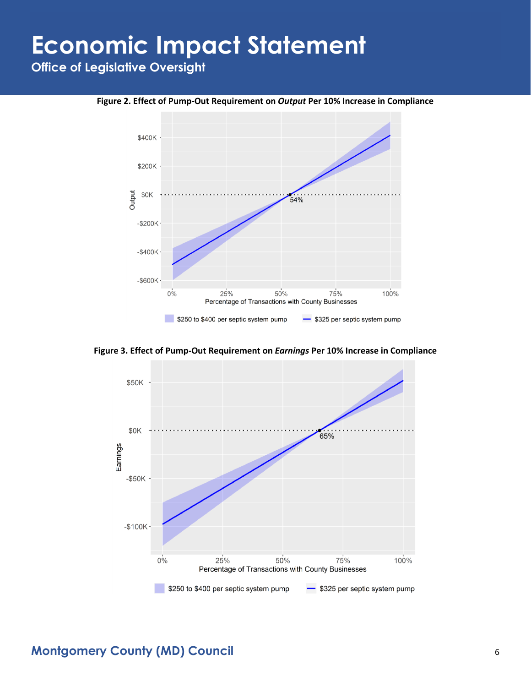**Office of Legislative Oversight**





**Figure 3. Effect of Pump-Out Requirement on** *Earnings* **Per 10% Increase in Compliance**

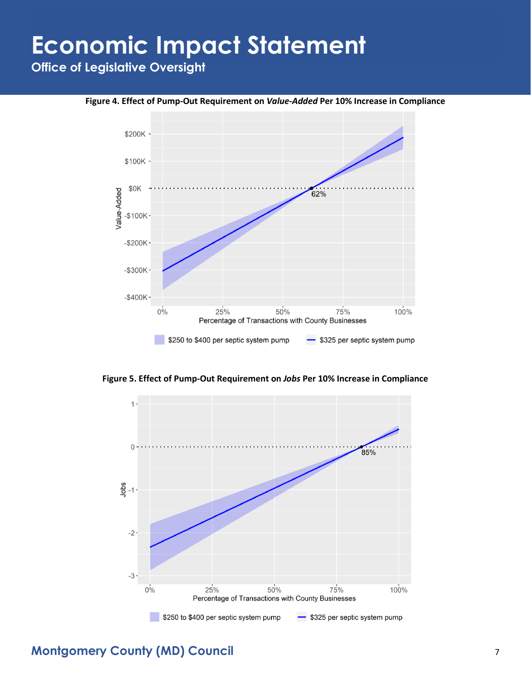**Office of Legislative Oversight**

**Figure 4. Effect of Pump-Out Requirement on** *Value-Added* **Per 10% Increase in Compliance**



**Figure 5. Effect of Pump-Out Requirement on** *Jobs* **Per 10% Increase in Compliance**



#### **Montgomery County (MD) Council** 7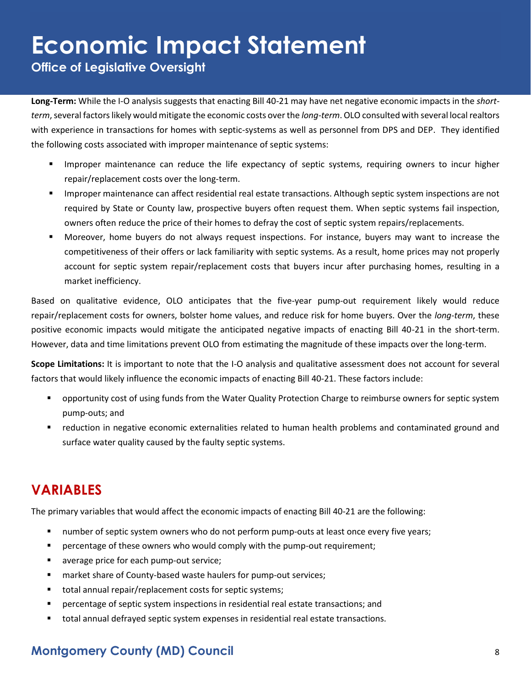**Office of Legislative Oversight**

**Long-Term:** While the I-O analysis suggests that enacting Bill 40-21 may have net negative economic impacts in the *shortterm*, several factors likely would mitigate the economic costs over the *long-term*.OLO consulted with several local realtors with experience in transactions for homes with septic-systems as well as personnel from DPS and DEP. They identified the following costs associated with improper maintenance of septic systems:

- Improper maintenance can reduce the life expectancy of septic systems, requiring owners to incur higher repair/replacement costs over the long-term.
- **■** Improper maintenance can affect residential real estate transactions. Although septic system inspections are not required by State or County law, prospective buyers often request them. When septic systems fail inspection, owners often reduce the price of their homes to defray the cost of septic system repairs/replacements.
- Moreover, home buyers do not always request inspections. For instance, buyers may want to increase the competitiveness of their offers or lack familiarity with septic systems. As a result, home prices may not properly account for septic system repair/replacement costs that buyers incur after purchasing homes, resulting in a market inefficiency.

Based on qualitative evidence, OLO anticipates that the five-year pump-out requirement likely would reduce repair/replacement costs for owners, bolster home values, and reduce risk for home buyers. Over the *long-term*, these positive economic impacts would mitigate the anticipated negative impacts of enacting Bill 40-21 in the short-term. However, data and time limitations prevent OLO from estimating the magnitude of these impacts over the long-term.

**Scope Limitations:** It is important to note that the I-O analysis and qualitative assessment does not account for several factors that would likely influence the economic impacts of enacting Bill 40-21. These factors include:

- opportunity cost of using funds from the Water Quality Protection Charge to reimburse owners for septic system pump-outs; and
- reduction in negative economic externalities related to human health problems and contaminated ground and surface water quality caused by the faulty septic systems.

### **VARIABLES**

The primary variables that would affect the economic impacts of enacting Bill 40-21 are the following:

- number of septic system owners who do not perform pump-outs at least once every five years;
- percentage of these owners who would comply with the pump-out requirement;
- average price for each pump-out service;
- market share of County-based waste haulers for pump-out services;
- total annual repair/replacement costs for septic systems;
- **•** percentage of septic system inspections in residential real estate transactions; and
- total annual defrayed septic system expenses in residential real estate transactions.

### **Montgomery County (MD) Council** 8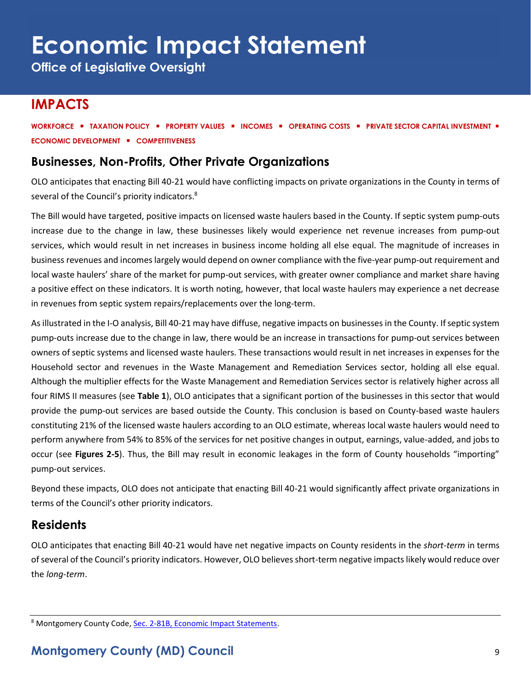**Office of Legislative Oversight**

### **IMPACTS**

**WORKFORCE** ▪ **TAXATION POLICY** ▪ **PROPERTY VALUES** ▪ **INCOMES** ▪ **OPERATING COSTS** ▪ **PRIVATE SECTOR CAPITAL INVESTMENT** ▪ **ECONOMIC DEVELOPMENT** ▪ **COMPETITIVENESS**

#### **Businesses, Non-Profits, Other Private Organizations**

OLO anticipates that enacting Bill 40-21 would have conflicting impacts on private organizations in the County in terms of several of the Council's priority indicators.<sup>8</sup>

The Bill would have targeted, positive impacts on licensed waste haulers based in the County. If septic system pump-outs increase due to the change in law, these businesses likely would experience net revenue increases from pump-out services, which would result in net increases in business income holding all else equal. The magnitude of increases in business revenues and incomeslargely would depend on owner compliance with the five-year pump-out requirement and local waste haulers' share of the market for pump-out services, with greater owner compliance and market share having a positive effect on these indicators. It is worth noting, however, that local waste haulers may experience a net decrease in revenues from septic system repairs/replacements over the long-term.

As illustrated in the I-O analysis, Bill 40-21 may have diffuse, negative impacts on businesses in the County. If septic system pump-outs increase due to the change in law, there would be an increase in transactions for pump-out services between owners of septic systems and licensed waste haulers. These transactions would result in net increases in expenses for the Household sector and revenues in the Waste Management and Remediation Services sector, holding all else equal. Although the multiplier effects for the Waste Management and Remediation Services sector is relatively higher across all four RIMS II measures (see **Table 1**), OLO anticipates that a significant portion of the businesses in this sector that would provide the pump-out services are based outside the County. This conclusion is based on County-based waste haulers constituting 21% of the licensed waste haulers according to an OLO estimate, whereas local waste haulers would need to perform anywhere from 54% to 85% of the services for net positive changes in output, earnings, value-added, and jobs to occur (see **Figures 2-5**). Thus, the Bill may result in economic leakages in the form of County households "importing" pump-out services.

Beyond these impacts, OLO does not anticipate that enacting Bill 40-21 would significantly affect private organizations in terms of the Council's other priority indicators.

#### **Residents**

OLO anticipates that enacting Bill 40-21 would have net negative impacts on County residents in the *short-term* in terms of several of the Council's priority indicators. However, OLO believes short-term negative impacts likely would reduce over the *long-term*.

<sup>8</sup> Montgomery County Code, [Sec. 2-81B, Economic Impact Statements.](https://codelibrary.amlegal.com/codes/montgomerycounty/latest/montgomeryco_md/0-0-0-80894)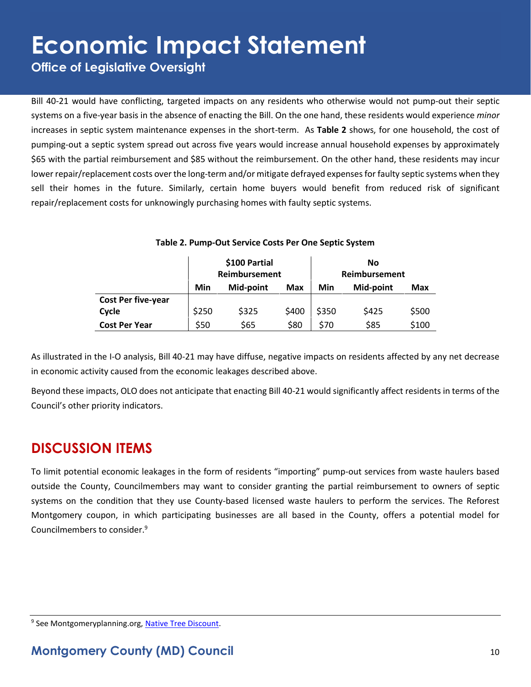**Office of Legislative Oversight**

Bill 40-21 would have conflicting, targeted impacts on any residents who otherwise would not pump-out their septic systems on a five-year basis in the absence of enacting the Bill. On the one hand, these residents would experience *minor* increases in septic system maintenance expenses in the short-term. As **Table 2** shows, for one household, the cost of pumping-out a septic system spread out across five years would increase annual household expenses by approximately \$65 with the partial reimbursement and \$85 without the reimbursement. On the other hand, these residents may incur lower repair/replacement costs over the long-term and/or mitigate defrayed expenses for faulty septic systems when they sell their homes in the future. Similarly, certain home buyers would benefit from reduced risk of significant repair/replacement costs for unknowingly purchasing homes with faulty septic systems.

|                           | \$100 Partial<br>Reimbursement |           |            | <b>No</b><br>Reimbursement |           |       |
|---------------------------|--------------------------------|-----------|------------|----------------------------|-----------|-------|
|                           | Min                            | Mid-point | <b>Max</b> | Min                        | Mid-point | Max   |
| <b>Cost Per five-year</b> |                                |           |            |                            |           |       |
| Cycle                     | \$250                          | \$325     | \$400      | \$350                      | \$425     | \$500 |
| <b>Cost Per Year</b>      | \$50                           | \$65      | \$80       | \$70                       | \$85      | \$100 |

#### **Table 2. Pump-Out Service Costs Per One Septic System**

As illustrated in the I-O analysis, Bill 40-21 may have diffuse, negative impacts on residents affected by any net decrease in economic activity caused from the economic leakages described above.

Beyond these impacts, OLO does not anticipate that enacting Bill 40-21 would significantly affect residents in terms of the Council's other priority indicators.

#### **DISCUSSION ITEMS**

To limit potential economic leakages in the form of residents "importing" pump-out services from waste haulers based outside the County, Councilmembers may want to consider granting the partial reimbursement to owners of septic systems on the condition that they use County-based licensed waste haulers to perform the services. The Reforest Montgomery coupon, in which participating businesses are all based in the County, offers a potential model for Councilmembers to consider. 9

<sup>&</sup>lt;sup>9</sup> See Montgomeryplanning.org, Native Tree Discount.